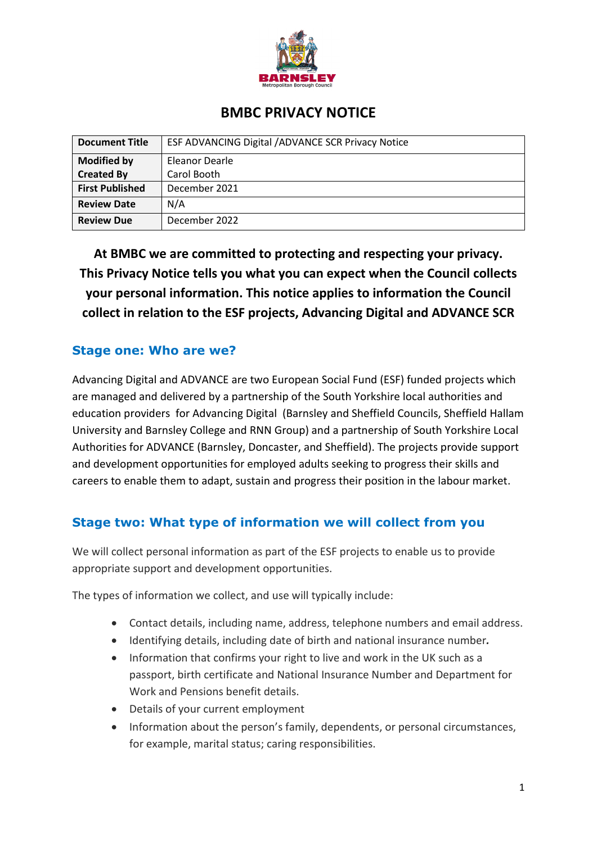

| <b>BMBC PRIVACY NOTICE</b> |                                                    |
|----------------------------|----------------------------------------------------|
| <b>Document Title</b>      | ESF ADVANCING Digital / ADVANCE SCR Privacy Notice |
| <b>Modified by</b>         | Eleanor Dearle                                     |
| <b>Created By</b>          | Carol Booth                                        |
| <b>First Published</b>     | December 2021                                      |
| <b>Review Date</b>         | N/A                                                |
| <b>Review Due</b>          | December 2022                                      |

 **This Privacy Notice tells you what you can expect when the Council collects collect in relation to the ESF projects, Advancing Digital and ADVANCE SCR At BMBC we are committed to protecting and respecting your privacy. your personal information. This notice applies to information the Council** 

# **Stage one: Who are we?**

 and development opportunities for employed adults seeking to progress their skills and careers to enable them to adapt, sustain and progress their position in the labour market. Advancing Digital and ADVANCE are two European Social Fund (ESF) funded projects which are managed and delivered by a partnership of the South Yorkshire local authorities and education providers for Advancing Digital (Barnsley and Sheffield Councils, Sheffield Hallam University and Barnsley College and RNN Group) and a partnership of South Yorkshire Local Authorities for ADVANCE (Barnsley, Doncaster, and Sheffield). The projects provide support

## **Stage two: What type of information we will collect from you**

We will collect personal information as part of the ESF projects to enable us to provide appropriate support and development opportunities.

The types of information we collect, and use will typically include:

- Contact details, including name, address, telephone numbers and email address.
- Identifying details, including date of birth and national insurance number*.*
- Work and Pensions benefit details. • Information that confirms your right to live and work in the UK such as a passport, birth certificate and National Insurance Number and Department for
- Details of your current employment
- Information about the person's family, dependents, or personal circumstances, for example, marital status; caring responsibilities.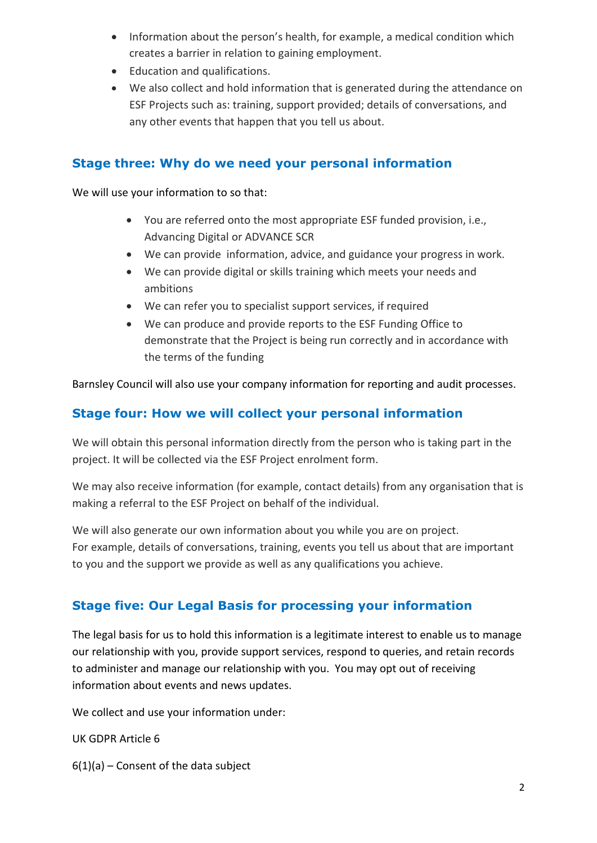- Information about the person's health, for example, a medical condition which creates a barrier in relation to gaining employment.
- Education and qualifications.
- We also collect and hold information that is generated during the attendance on ESF Projects such as: training, support provided; details of conversations, and any other events that happen that you tell us about.

## **Stage three: Why do we need your personal information**

We will use your information to so that:

- • You are referred onto the most appropriate ESF funded provision, i.e., Advancing Digital or ADVANCE SCR
- We can provide information, advice, and guidance your progress in work.
- • We can provide digital or skills training which meets your needs and ambitions
- We can refer you to specialist support services, if required
- • We can produce and provide reports to the ESF Funding Office to demonstrate that the Project is being run correctly and in accordance with the terms of the funding

Barnsley Council will also use your company information for reporting and audit processes.

## **Stage four: How we will collect your personal information**

 project. It will be collected via the ESF Project enrolment form. We will obtain this personal information directly from the person who is taking part in the

 making a referral to the ESF Project on behalf of the individual. We may also receive information (for example, contact details) from any organisation that is

 For example, details of conversations, training, events you tell us about that are important to you and the support we provide as well as any qualifications you achieve. We will also generate our own information about you while you are on project.

# **Stage five: Our Legal Basis for processing your information**

 The legal basis for us to hold this information is a legitimate interest to enable us to manage to administer and manage our relationship with you. You may opt out of receiving information about events and news updates. our relationship with you, provide support services, respond to queries, and retain records

We collect and use your information under:

UK GDPR Article 6

 $6(1)(a)$  – Consent of the data subject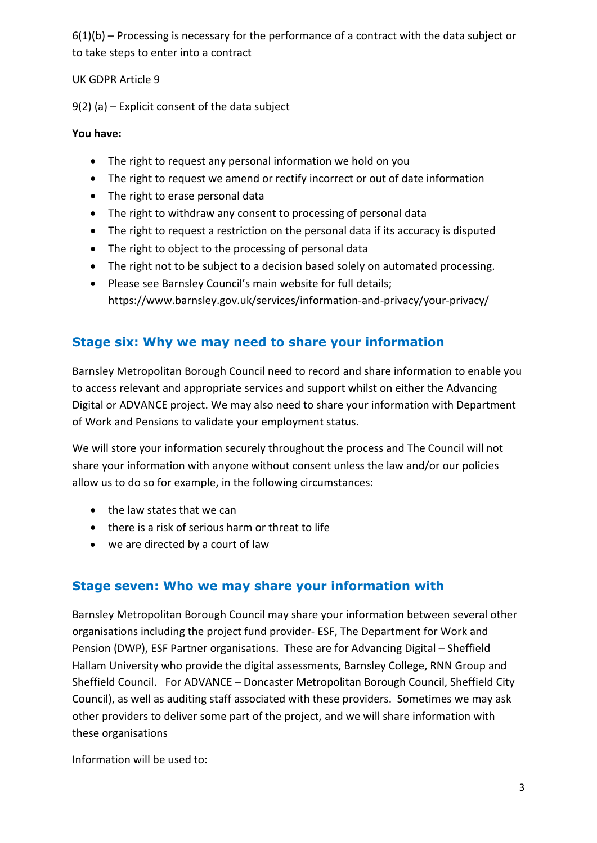to take steps to enter into a contract  $6(1)(b)$  – Processing is necessary for the performance of a contract with the data subject or

UK GDPR Article 9

9(2) (a) – Explicit consent of the data subject

#### **You have:**

- The right to request any personal information we hold on you
- The right to request we amend or rectify incorrect or out of date information
- The right to erase personal data
- The right to withdraw any consent to processing of personal data
- The right to request a restriction on the personal data if its accuracy is disputed
- The right to object to the processing of personal data
- The right not to be subject to a decision based solely on automated processing.
- Please see Barnsley Council's main website for full details; • Please see Barnsley Council's main website for full details; <https://www.barnsley.gov.uk/services/information-and-privacy/your-privacy>/

# **Stage six: Why we may need to share your information**

 Digital or ADVANCE project. We may also need to share your information with Department Barnsley Metropolitan Borough Council need to record and share information to enable you to access relevant and appropriate services and support whilst on either the Advancing of Work and Pensions to validate your employment status.

 We will store your information securely throughout the process and The Council will not allow us to do so for example, in the following circumstances: share your information with anyone without consent unless the law and/or our policies

- the law states that we can
- there is a risk of serious harm or threat to life
- we are directed by a court of law

## **Stage seven: Who we may share your information with**

 Pension (DWP), ESF Partner organisations. These are for Advancing Digital – Sheffield Hallam University who provide the digital assessments, Barnsley College, RNN Group and Sheffield Council. For ADVANCE – Doncaster Metropolitan Borough Council, Sheffield City Council), as well as auditing staff associated with these providers. Sometimes we may ask other providers to deliver some part of the project, and we will share information with Barnsley Metropolitan Borough Council may share your information between several other organisations including the project fund provider- ESF, The Department for Work and these organisations

Information will be used to: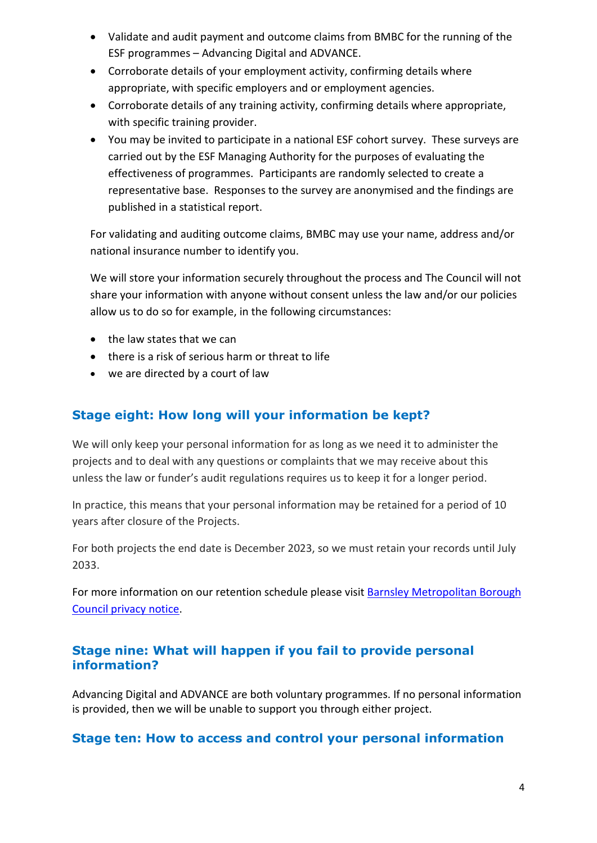- Validate and audit payment and outcome claims from BMBC for the running of the ESF programmes – Advancing Digital and ADVANCE.
- Corroborate details of your employment activity, confirming details where appropriate, with specific employers and or employment agencies.
- Corroborate details of any training activity, confirming details where appropriate, with specific training provider.
- carried out by the ESF Managing Authority for the purposes of evaluating the representative base. Responses to the survey are anonymised and the findings are published in a statistical report. • You may be invited to participate in a national ESF cohort survey. These surveys are effectiveness of programmes. Participants are randomly selected to create a

For validating and auditing outcome claims, BMBC may use your name, address and/or national insurance number to identify you.

 We will store your information securely throughout the process and The Council will not allow us to do so for example, in the following circumstances: share your information with anyone without consent unless the law and/or our policies

- the law states that we can
- there is a risk of serious harm or threat to life
- we are directed by a court of law

# **Stage eight: How long will your information be kept?**

 projects and to deal with any questions or complaints that we may receive about this unless the law or funder's audit regulations requires us to keep it for a longer period. We will only keep your personal information for as long as we need it to administer the

 In practice, this means that your personal information may be retained for a period of 10 years after closure of the Projects.

 For both projects the end date is December 2023, so we must retain your records until July 2033.

For more information on our retention schedule please visit Barnsley Metropolitan Borough [Council privacy notice.](https://www.barnsley.gov.uk/services/information-and-privacy/your-privacy/)

## **information? Stage nine: What will happen if you fail to provide personal**

 Advancing Digital and ADVANCE are both voluntary programmes. If no personal information is provided, then we will be unable to support you through either project.

### **Stage ten: How to access and control your personal information**